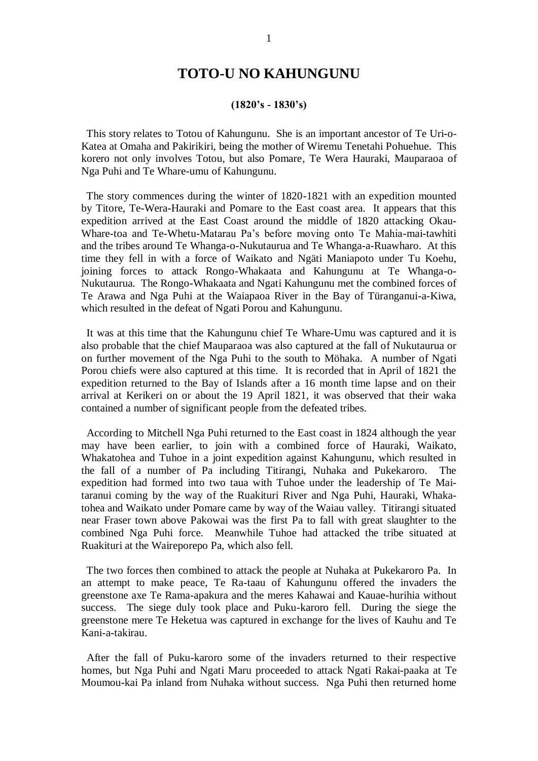## **TOTO-U NO KAHUNGUNU**

## **(1820's - 1830's)**

 This story relates to Totou of Kahungunu. She is an important ancestor of Te Uri-o-Katea at Omaha and Pakirikiri, being the mother of Wiremu Tenetahi Pohuehue. This korero not only involves Totou, but also Pomare, Te Wera Hauraki, Mauparaoa of Nga Puhi and Te Whare-umu of Kahungunu.

 The story commences during the winter of 1820-1821 with an expedition mounted by Titore, Te-Wera-Hauraki and Pomare to the East coast area. It appears that this expedition arrived at the East Coast around the middle of 1820 attacking Okau-Whare-toa and Te-Whetu-Matarau Pa's before moving onto Te Mahia-mai-tawhiti and the tribes around Te Whanga-o-Nukutaurua and Te Whanga-a-Ruawharo. At this time they fell in with a force of Waikato and Ngäti Maniapoto under Tu Koehu, joining forces to attack Rongo-Whakaata and Kahungunu at Te Whanga-o-Nukutaurua. The Rongo-Whakaata and Ngati Kahungunu met the combined forces of Te Arawa and Nga Puhi at the Waiapaoa River in the Bay of Türanganui-a-Kiwa, which resulted in the defeat of Ngati Porou and Kahungunu.

 It was at this time that the Kahungunu chief Te Whare-Umu was captured and it is also probable that the chief Mauparaoa was also captured at the fall of Nukutaurua or on further movement of the Nga Puhi to the south to Möhaka. A number of Ngati Porou chiefs were also captured at this time. It is recorded that in April of 1821 the expedition returned to the Bay of Islands after a 16 month time lapse and on their arrival at Kerikeri on or about the 19 April 1821, it was observed that their waka contained a number of significant people from the defeated tribes.

 According to Mitchell Nga Puhi returned to the East coast in 1824 although the year may have been earlier, to join with a combined force of Hauraki, Waikato, Whakatohea and Tuhoe in a joint expedition against Kahungunu, which resulted in the fall of a number of Pa including Titirangi, Nuhaka and Pukekaroro. The expedition had formed into two taua with Tuhoe under the leadership of Te Maitaranui coming by the way of the Ruakituri River and Nga Puhi, Hauraki, Whakatohea and Waikato under Pomare came by way of the Waiau valley. Titirangi situated near Fraser town above Pakowai was the first Pa to fall with great slaughter to the combined Nga Puhi force. Meanwhile Tuhoe had attacked the tribe situated at Ruakituri at the Waireporepo Pa, which also fell.

 The two forces then combined to attack the people at Nuhaka at Pukekaroro Pa. In an attempt to make peace, Te Ra-taau of Kahungunu offered the invaders the greenstone axe Te Rama-apakura and the meres Kahawai and Kauae-hurihia without success. The siege duly took place and Puku-karoro fell. During the siege the greenstone mere Te Heketua was captured in exchange for the lives of Kauhu and Te Kani-a-takirau.

 After the fall of Puku-karoro some of the invaders returned to their respective homes, but Nga Puhi and Ngati Maru proceeded to attack Ngati Rakai-paaka at Te Moumou-kai Pa inland from Nuhaka without success. Nga Puhi then returned home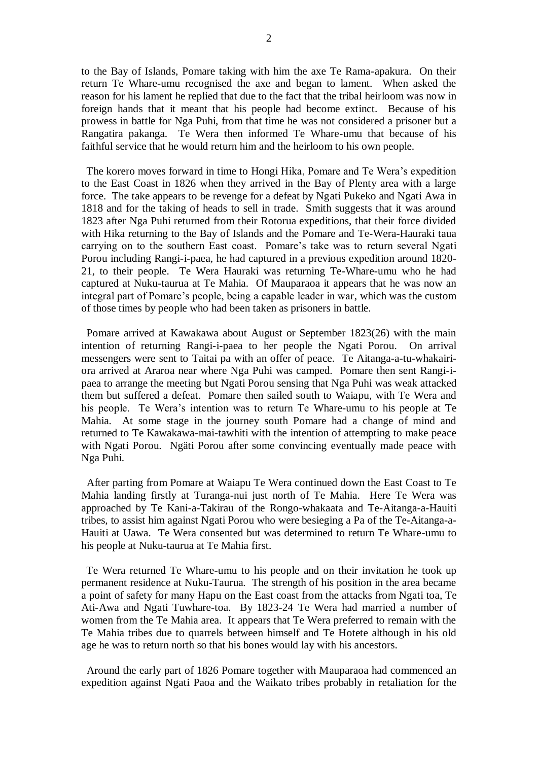to the Bay of Islands, Pomare taking with him the axe Te Rama-apakura. On their return Te Whare-umu recognised the axe and began to lament. When asked the reason for his lament he replied that due to the fact that the tribal heirloom was now in foreign hands that it meant that his people had become extinct. Because of his prowess in battle for Nga Puhi, from that time he was not considered a prisoner but a Rangatira pakanga. Te Wera then informed Te Whare-umu that because of his faithful service that he would return him and the heirloom to his own people.

 The korero moves forward in time to Hongi Hika, Pomare and Te Wera's expedition to the East Coast in 1826 when they arrived in the Bay of Plenty area with a large force. The take appears to be revenge for a defeat by Ngati Pukeko and Ngati Awa in 1818 and for the taking of heads to sell in trade. Smith suggests that it was around 1823 after Nga Puhi returned from their Rotorua expeditions, that their force divided with Hika returning to the Bay of Islands and the Pomare and Te-Wera-Hauraki taua carrying on to the southern East coast. Pomare's take was to return several Ngati Porou including Rangi-i-paea, he had captured in a previous expedition around 1820- 21, to their people. Te Wera Hauraki was returning Te-Whare-umu who he had captured at Nuku-taurua at Te Mahia. Of Mauparaoa it appears that he was now an integral part of Pomare's people, being a capable leader in war, which was the custom of those times by people who had been taken as prisoners in battle.

 Pomare arrived at Kawakawa about August or September 1823(26) with the main intention of returning Rangi-i-paea to her people the Ngati Porou. On arrival messengers were sent to Taitai pa with an offer of peace. Te Aitanga-a-tu-whakairiora arrived at Araroa near where Nga Puhi was camped. Pomare then sent Rangi-ipaea to arrange the meeting but Ngati Porou sensing that Nga Puhi was weak attacked them but suffered a defeat. Pomare then sailed south to Waiapu, with Te Wera and his people. Te Wera's intention was to return Te Whare-umu to his people at Te Mahia. At some stage in the journey south Pomare had a change of mind and returned to Te Kawakawa-mai-tawhiti with the intention of attempting to make peace with Ngati Porou. Ngäti Porou after some convincing eventually made peace with Nga Puhi.

 After parting from Pomare at Waiapu Te Wera continued down the East Coast to Te Mahia landing firstly at Turanga-nui just north of Te Mahia. Here Te Wera was approached by Te Kani-a-Takirau of the Rongo-whakaata and Te-Aitanga-a-Hauiti tribes, to assist him against Ngati Porou who were besieging a Pa of the Te-Aitanga-a-Hauiti at Uawa. Te Wera consented but was determined to return Te Whare-umu to his people at Nuku-taurua at Te Mahia first.

 Te Wera returned Te Whare-umu to his people and on their invitation he took up permanent residence at Nuku-Taurua. The strength of his position in the area became a point of safety for many Hapu on the East coast from the attacks from Ngati toa, Te Ati-Awa and Ngati Tuwhare-toa. By 1823-24 Te Wera had married a number of women from the Te Mahia area. It appears that Te Wera preferred to remain with the Te Mahia tribes due to quarrels between himself and Te Hotete although in his old age he was to return north so that his bones would lay with his ancestors.

 Around the early part of 1826 Pomare together with Mauparaoa had commenced an expedition against Ngati Paoa and the Waikato tribes probably in retaliation for the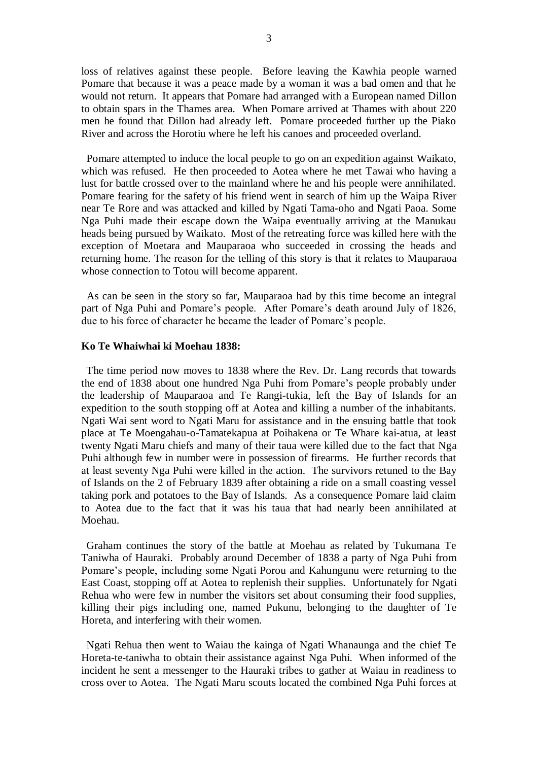loss of relatives against these people. Before leaving the Kawhia people warned Pomare that because it was a peace made by a woman it was a bad omen and that he would not return. It appears that Pomare had arranged with a European named Dillon to obtain spars in the Thames area. When Pomare arrived at Thames with about 220 men he found that Dillon had already left. Pomare proceeded further up the Piako River and across the Horotiu where he left his canoes and proceeded overland.

 Pomare attempted to induce the local people to go on an expedition against Waikato, which was refused. He then proceeded to Aotea where he met Tawai who having a lust for battle crossed over to the mainland where he and his people were annihilated. Pomare fearing for the safety of his friend went in search of him up the Waipa River near Te Rore and was attacked and killed by Ngati Tama-oho and Ngati Paoa. Some Nga Puhi made their escape down the Waipa eventually arriving at the Manukau heads being pursued by Waikato. Most of the retreating force was killed here with the exception of Moetara and Mauparaoa who succeeded in crossing the heads and returning home. The reason for the telling of this story is that it relates to Mauparaoa whose connection to Totou will become apparent.

 As can be seen in the story so far, Mauparaoa had by this time become an integral part of Nga Puhi and Pomare's people. After Pomare's death around July of 1826, due to his force of character he became the leader of Pomare's people.

## **Ko Te Whaiwhai ki Moehau 1838:**

 The time period now moves to 1838 where the Rev. Dr. Lang records that towards the end of 1838 about one hundred Nga Puhi from Pomare's people probably under the leadership of Mauparaoa and Te Rangi-tukia, left the Bay of Islands for an expedition to the south stopping off at Aotea and killing a number of the inhabitants. Ngati Wai sent word to Ngati Maru for assistance and in the ensuing battle that took place at Te Moengahau-o-Tamatekapua at Poihakena or Te Whare kai-atua, at least twenty Ngati Maru chiefs and many of their taua were killed due to the fact that Nga Puhi although few in number were in possession of firearms. He further records that at least seventy Nga Puhi were killed in the action. The survivors retuned to the Bay of Islands on the 2 of February 1839 after obtaining a ride on a small coasting vessel taking pork and potatoes to the Bay of Islands. As a consequence Pomare laid claim to Aotea due to the fact that it was his taua that had nearly been annihilated at Moehau.

 Graham continues the story of the battle at Moehau as related by Tukumana Te Taniwha of Hauraki. Probably around December of 1838 a party of Nga Puhi from Pomare's people, including some Ngati Porou and Kahungunu were returning to the East Coast, stopping off at Aotea to replenish their supplies. Unfortunately for Ngati Rehua who were few in number the visitors set about consuming their food supplies, killing their pigs including one, named Pukunu, belonging to the daughter of Te Horeta, and interfering with their women.

 Ngati Rehua then went to Waiau the kainga of Ngati Whanaunga and the chief Te Horeta-te-taniwha to obtain their assistance against Nga Puhi. When informed of the incident he sent a messenger to the Hauraki tribes to gather at Waiau in readiness to cross over to Aotea. The Ngati Maru scouts located the combined Nga Puhi forces at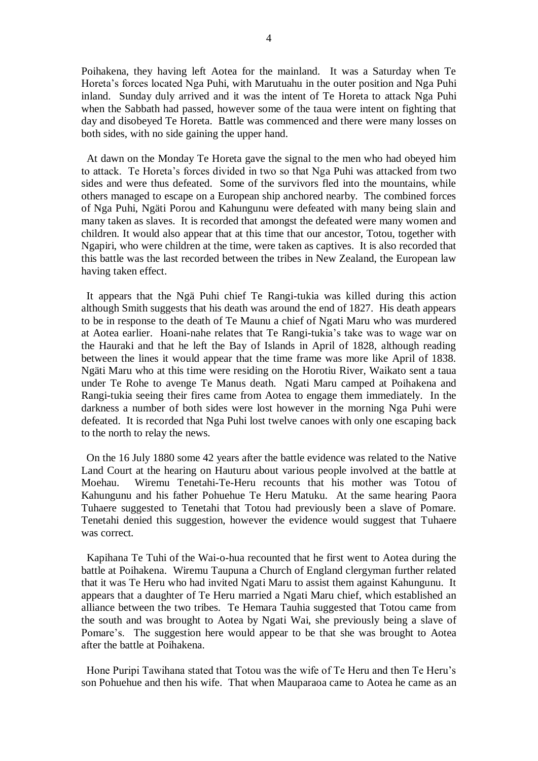Poihakena, they having left Aotea for the mainland. It was a Saturday when Te Horeta's forces located Nga Puhi, with Marutuahu in the outer position and Nga Puhi inland. Sunday duly arrived and it was the intent of Te Horeta to attack Nga Puhi when the Sabbath had passed, however some of the taua were intent on fighting that day and disobeyed Te Horeta. Battle was commenced and there were many losses on both sides, with no side gaining the upper hand.

 At dawn on the Monday Te Horeta gave the signal to the men who had obeyed him to attack. Te Horeta's forces divided in two so that Nga Puhi was attacked from two sides and were thus defeated. Some of the survivors fled into the mountains, while others managed to escape on a European ship anchored nearby. The combined forces of Nga Puhi, Ngäti Porou and Kahungunu were defeated with many being slain and many taken as slaves. It is recorded that amongst the defeated were many women and children. It would also appear that at this time that our ancestor, Totou, together with Ngapiri, who were children at the time, were taken as captives. It is also recorded that this battle was the last recorded between the tribes in New Zealand, the European law having taken effect.

 It appears that the Ngä Puhi chief Te Rangi-tukia was killed during this action although Smith suggests that his death was around the end of 1827. His death appears to be in response to the death of Te Maunu a chief of Ngati Maru who was murdered at Aotea earlier. Hoani-nahe relates that Te Rangi-tukia's take was to wage war on the Hauraki and that he left the Bay of Islands in April of 1828, although reading between the lines it would appear that the time frame was more like April of 1838. Ngäti Maru who at this time were residing on the Horotiu River, Waikato sent a taua under Te Rohe to avenge Te Manus death. Ngati Maru camped at Poihakena and Rangi-tukia seeing their fires came from Aotea to engage them immediately. In the darkness a number of both sides were lost however in the morning Nga Puhi were defeated. It is recorded that Nga Puhi lost twelve canoes with only one escaping back to the north to relay the news.

 On the 16 July 1880 some 42 years after the battle evidence was related to the Native Land Court at the hearing on Hauturu about various people involved at the battle at Moehau. Wiremu Tenetahi-Te-Heru recounts that his mother was Totou of Kahungunu and his father Pohuehue Te Heru Matuku. At the same hearing Paora Tuhaere suggested to Tenetahi that Totou had previously been a slave of Pomare. Tenetahi denied this suggestion, however the evidence would suggest that Tuhaere was correct.

 Kapihana Te Tuhi of the Wai-o-hua recounted that he first went to Aotea during the battle at Poihakena. Wiremu Taupuna a Church of England clergyman further related that it was Te Heru who had invited Ngati Maru to assist them against Kahungunu. It appears that a daughter of Te Heru married a Ngati Maru chief, which established an alliance between the two tribes. Te Hemara Tauhia suggested that Totou came from the south and was brought to Aotea by Ngati Wai, she previously being a slave of Pomare's. The suggestion here would appear to be that she was brought to Aotea after the battle at Poihakena.

 Hone Puripi Tawihana stated that Totou was the wife of Te Heru and then Te Heru's son Pohuehue and then his wife. That when Mauparaoa came to Aotea he came as an